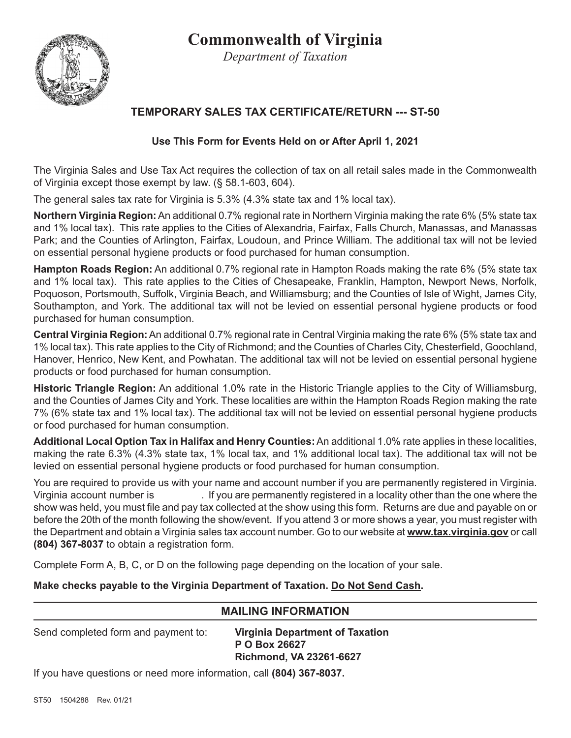# **Commonwealth of Virginia**

*Department of Taxation*

## **TEMPORARY SALES TAX CERTIFICATE/RETURN --- ST-50**

### **Use This Form for Events Held on or After April 1, 2021**

The Virginia Sales and Use Tax Act requires the collection of tax on all retail sales made in the Commonwealth of Virginia except those exempt by law. (§ 58.1-603, 604).

The general sales tax rate for Virginia is 5.3% (4.3% state tax and 1% local tax).

**Northern Virginia Region:** An additional 0.7% regional rate in Northern Virginia making the rate 6% (5% state tax and 1% local tax). This rate applies to the Cities of Alexandria, Fairfax, Falls Church, Manassas, and Manassas Park; and the Counties of Arlington, Fairfax, Loudoun, and Prince William. The additional tax will not be levied on essential personal hygiene products or food purchased for human consumption.

**Hampton Roads Region:** An additional 0.7% regional rate in Hampton Roads making the rate 6% (5% state tax and 1% local tax). This rate applies to the Cities of Chesapeake, Franklin, Hampton, Newport News, Norfolk, Poquoson, Portsmouth, Suffolk, Virginia Beach, and Williamsburg; and the Counties of Isle of Wight, James City, Southampton, and York. The additional tax will not be levied on essential personal hygiene products or food purchased for human consumption.

**Central Virginia Region:** An additional 0.7% regional rate in Central Virginia making the rate 6% (5% state tax and 1% local tax). This rate applies to the City of Richmond; and the Counties of Charles City, Chesterfield, Goochland, Hanover, Henrico, New Kent, and Powhatan. The additional tax will not be levied on essential personal hygiene products or food purchased for human consumption.

**Historic Triangle Region:** An additional 1.0% rate in the Historic Triangle applies to the City of Williamsburg, and the Counties of James City and York. These localities are within the Hampton Roads Region making the rate 7% (6% state tax and 1% local tax). The additional tax will not be levied on essential personal hygiene products or food purchased for human consumption.

**Additional Local Option Tax in Halifax and Henry Counties:** An additional 1.0% rate applies in these localities, making the rate 6.3% (4.3% state tax, 1% local tax, and 1% additional local tax). The additional tax will not be levied on essential personal hygiene products or food purchased for human consumption.

You are required to provide us with your name and account number if you are permanently registered in Virginia. Virginia account number is . If you are permanently registered in a locality other than the one where the show was held, you must file and pay tax collected at the show using this form. Returns are due and payable on or before the 20th of the month following the show/event. If you attend 3 or more shows a year, you must register with the Department and obtain a Virginia sales tax account number. Go to our website at **www.tax.virginia.gov** or call **(804) 367-8037** to obtain a registration form.

Complete Form A, B, C, or D on the following page depending on the location of your sale.

#### **Make checks payable to the Virginia Department of Taxation. Do Not Send Cash.**

## **MAILING INFORMATION**

Send completed form and payment to: **Virginia Department of Taxation**

 **P O Box 26627 Richmond, VA 23261-6627**

If you have questions or need more information, call **(804) 367-8037.**